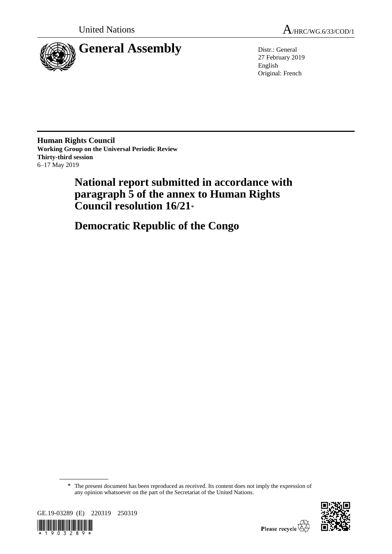

27 February 2019 English Original: French

**Human Rights Council Working Group on the Universal Periodic Review Thirty-third session** 6–17 May 2019

> **National report submitted in accordance with paragraph 5 of the annex to Human Rights Council resolution 16/21**\*

**Democratic Republic of the Congo**

\* The present document has been reproduced as received. Its content does not imply the expression of any opinion whatsoever on the part of the Secretariat of the United Nations.



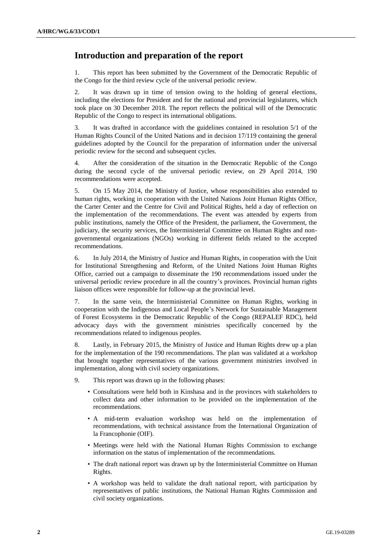# **Introduction and preparation of the report**

1. This report has been submitted by the Government of the Democratic Republic of the Congo for the third review cycle of the universal periodic review.

2. It was drawn up in time of tension owing to the holding of general elections, including the elections for President and for the national and provincial legislatures, which took place on 30 December 2018. The report reflects the political will of the Democratic Republic of the Congo to respect its international obligations.

3. It was drafted in accordance with the guidelines contained in resolution 5/1 of the Human Rights Council of the United Nations and in decision 17/119 containing the general guidelines adopted by the Council for the preparation of information under the universal periodic review for the second and subsequent cycles.

4. After the consideration of the situation in the Democratic Republic of the Congo during the second cycle of the universal periodic review, on 29 April 2014, 190 recommendations were accepted.

5. On 15 May 2014, the Ministry of Justice, whose responsibilities also extended to human rights, working in cooperation with the United Nations Joint Human Rights Office, the Carter Center and the Centre for Civil and Political Rights, held a day of reflection on the implementation of the recommendations. The event was attended by experts from public institutions, namely the Office of the President, the parliament, the Government, the judiciary, the security services, the Interministerial Committee on Human Rights and nongovernmental organizations (NGOs) working in different fields related to the accepted recommendations.

6. In July 2014, the Ministry of Justice and Human Rights, in cooperation with the Unit for Institutional Strengthening and Reform, of the United Nations Joint Human Rights Office, carried out a campaign to disseminate the 190 recommendations issued under the universal periodic review procedure in all the country's provinces. Provincial human rights liaison offices were responsible for follow-up at the provincial level.

7. In the same vein, the Interministerial Committee on Human Rights, working in cooperation with the Indigenous and Local People's Network for Sustainable Management of Forest Ecosystems in the Democratic Republic of the Congo (REPALEF RDC), held advocacy days with the government ministries specifically concerned by the recommendations related to indigenous peoples.

8. Lastly, in February 2015, the Ministry of Justice and Human Rights drew up a plan for the implementation of the 190 recommendations. The plan was validated at a workshop that brought together representatives of the various government ministries involved in implementation, along with civil society organizations.

- 9. This report was drawn up in the following phases:
	- Consultations were held both in Kinshasa and in the provinces with stakeholders to collect data and other information to be provided on the implementation of the recommendations.
	- A mid-term evaluation workshop was held on the implementation of recommendations, with technical assistance from the International Organization of la Francophonie (OIF).
	- Meetings were held with the National Human Rights Commission to exchange information on the status of implementation of the recommendations.
	- The draft national report was drawn up by the Interministerial Committee on Human Rights.
	- A workshop was held to validate the draft national report, with participation by representatives of public institutions, the National Human Rights Commission and civil society organizations.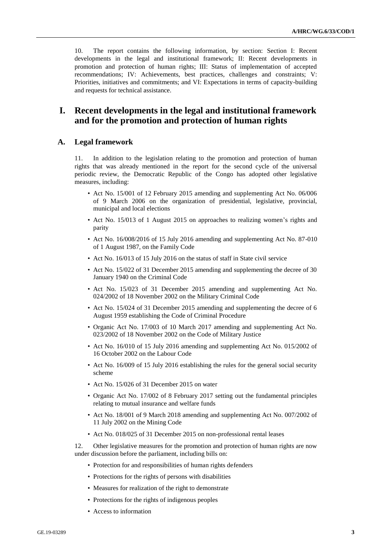10. The report contains the following information, by section: Section I: Recent developments in the legal and institutional framework; II: Recent developments in promotion and protection of human rights; III: Status of implementation of accepted recommendations; IV: Achievements, best practices, challenges and constraints; V: Priorities, initiatives and commitments; and VI: Expectations in terms of capacity-building and requests for technical assistance.

# **I. Recent developments in the legal and institutional framework and for the promotion and protection of human rights**

#### **A. Legal framework**

11. In addition to the legislation relating to the promotion and protection of human rights that was already mentioned in the report for the second cycle of the universal periodic review, the Democratic Republic of the Congo has adopted other legislative measures, including:

- Act No. 15/001 of 12 February 2015 amending and supplementing Act No. 06/006 of 9 March 2006 on the organization of presidential, legislative, provincial, municipal and local elections
- Act No. 15/013 of 1 August 2015 on approaches to realizing women's rights and parity
- Act No. 16/008/2016 of 15 July 2016 amending and supplementing Act No. 87-010 of 1 August 1987, on the Family Code
- Act No. 16/013 of 15 July 2016 on the status of staff in State civil service
- Act No. 15/022 of 31 December 2015 amending and supplementing the decree of 30 January 1940 on the Criminal Code
- Act No. 15/023 of 31 December 2015 amending and supplementing Act No. 024/2002 of 18 November 2002 on the Military Criminal Code
- Act No. 15/024 of 31 December 2015 amending and supplementing the decree of 6 August 1959 establishing the Code of Criminal Procedure
- Organic Act No. 17/003 of 10 March 2017 amending and supplementing Act No. 023/2002 of 18 November 2002 on the Code of Military Justice
- Act No. 16/010 of 15 July 2016 amending and supplementing Act No. 015/2002 of 16 October 2002 on the Labour Code
- Act No. 16/009 of 15 July 2016 establishing the rules for the general social security scheme
- Act No. 15/026 of 31 December 2015 on water
- Organic Act No. 17/002 of 8 February 2017 setting out the fundamental principles relating to mutual insurance and welfare funds
- Act No. 18/001 of 9 March 2018 amending and supplementing Act No. 007/2002 of 11 July 2002 on the Mining Code
- Act No. 018/025 of 31 December 2015 on non-professional rental leases

12. Other legislative measures for the promotion and protection of human rights are now under discussion before the parliament, including bills on:

- Protection for and responsibilities of human rights defenders
- Protections for the rights of persons with disabilities
- Measures for realization of the right to demonstrate
- Protections for the rights of indigenous peoples
- Access to information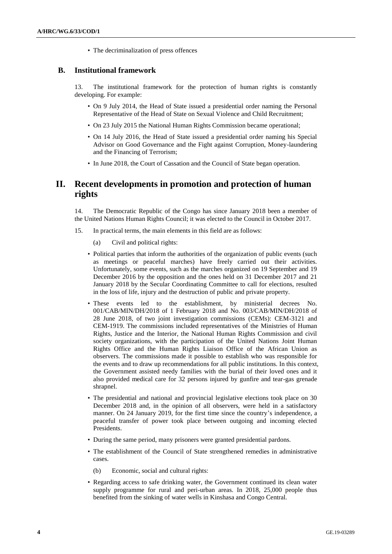• The decriminalization of press offences

#### **B. Institutional framework**

13. The institutional framework for the protection of human rights is constantly developing. For example:

- On 9 July 2014, the Head of State issued a presidential order naming the Personal Representative of the Head of State on Sexual Violence and Child Recruitment;
- On 23 July 2015 the National Human Rights Commission became operational;
- On 14 July 2016, the Head of State issued a presidential order naming his Special Advisor on Good Governance and the Fight against Corruption, Money-laundering and the Financing of Terrorism;
- In June 2018, the Court of Cassation and the Council of State began operation.

# **II. Recent developments in promotion and protection of human rights**

14. The Democratic Republic of the Congo has since January 2018 been a member of the United Nations Human Rights Council; it was elected to the Council in October 2017.

- 15. In practical terms, the main elements in this field are as follows:
	- (a) Civil and political rights:
	- Political parties that inform the authorities of the organization of public events (such as meetings or peaceful marches) have freely carried out their activities. Unfortunately, some events, such as the marches organized on 19 September and 19 December 2016 by the opposition and the ones held on 31 December 2017 and 21 January 2018 by the Secular Coordinating Committee to call for elections, resulted in the loss of life, injury and the destruction of public and private property.
	- These events led to the establishment, by ministerial decrees No. 001/CAB/MIN/DH/2018 of 1 February 2018 and No. 003/CAB/MIN/DH/2018 of 28 June 2018, of two joint investigation commissions (CEMs): CEM-3121 and CEM-1919. The commissions included representatives of the Ministries of Human Rights, Justice and the Interior, the National Human Rights Commission and civil society organizations, with the participation of the United Nations Joint Human Rights Office and the Human Rights Liaison Office of the African Union as observers. The commissions made it possible to establish who was responsible for the events and to draw up recommendations for all public institutions. In this context, the Government assisted needy families with the burial of their loved ones and it also provided medical care for 32 persons injured by gunfire and tear-gas grenade shrapnel.
	- The presidential and national and provincial legislative elections took place on 30 December 2018 and, in the opinion of all observers, were held in a satisfactory manner. On 24 January 2019, for the first time since the country's independence, a peaceful transfer of power took place between outgoing and incoming elected Presidents.
	- During the same period, many prisoners were granted presidential pardons.
	- The establishment of the Council of State strengthened remedies in administrative cases.
		- (b) Economic, social and cultural rights:
	- Regarding access to safe drinking water, the Government continued its clean water supply programme for rural and peri-urban areas. In 2018, 25,000 people thus benefited from the sinking of water wells in Kinshasa and Congo Central.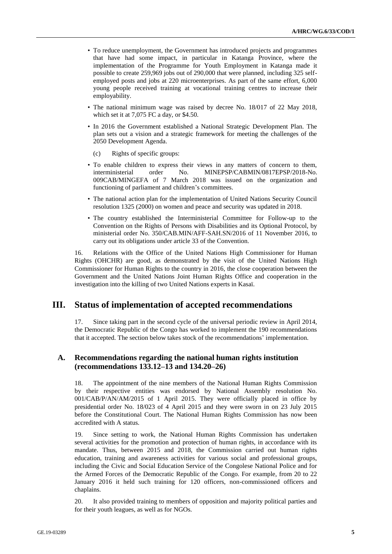- To reduce unemployment, the Government has introduced projects and programmes that have had some impact, in particular in Katanga Province, where the implementation of the Programme for Youth Employment in Katanga made it possible to create 259,969 jobs out of 290,000 that were planned, including 325 selfemployed posts and jobs at 220 microenterprises. As part of the same effort, 6,000 young people received training at vocational training centres to increase their employability.
- The national minimum wage was raised by decree No. 18/017 of 22 May 2018, which set it at 7,075 FC a day, or \$4.50.
- In 2016 the Government established a National Strategic Development Plan. The plan sets out a vision and a strategic framework for meeting the challenges of the 2050 Development Agenda.
	- (c) Rights of specific groups:
- To enable children to express their views in any matters of concern to them, interministerial order No. MINEPSP/CABMIN/0817EPSP/2018-No. interministerial order No. MINEPSP/CABMIN/0817EPSP/2018-No. 009CAB/MINGEFA of 7 March 2018 was issued on the organization and functioning of parliament and children's committees.
- The national action plan for the implementation of United Nations Security Council resolution 1325 (2000) on women and peace and security was updated in 2018.
- The country established the Interministerial Committee for Follow-up to the Convention on the Rights of Persons with Disabilities and its Optional Protocol, by ministerial order No. 350/CAB.MIN/AFF-SAH.SN/2016 of 11 November 2016, to carry out its obligations under article 33 of the Convention.

16. Relations with the Office of the United Nations High Commissioner for Human Rights (OHCHR) are good, as demonstrated by the visit of the United Nations High Commissioner for Human Rights to the country in 2016, the close cooperation between the Government and the United Nations Joint Human Rights Office and cooperation in the investigation into the killing of two United Nations experts in Kasaï.

### **III. Status of implementation of accepted recommendations**

17. Since taking part in the second cycle of the universal periodic review in April 2014, the Democratic Republic of the Congo has worked to implement the 190 recommendations that it accepted. The section below takes stock of the recommendations' implementation.

#### **A. Recommendations regarding the national human rights institution (recommendations 133.12–13 and 134.20–26)**

18. The appointment of the nine members of the National Human Rights Commission by their respective entities was endorsed by National Assembly resolution No. 001/CAB/P/AN/AM/2015 of 1 April 2015. They were officially placed in office by presidential order No. 18/023 of 4 April 2015 and they were sworn in on 23 July 2015 before the Constitutional Court. The National Human Rights Commission has now been accredited with A status.

19. Since setting to work, the National Human Rights Commission has undertaken several activities for the promotion and protection of human rights, in accordance with its mandate. Thus, between 2015 and 2018, the Commission carried out human rights education, training and awareness activities for various social and professional groups, including the Civic and Social Education Service of the Congolese National Police and for the Armed Forces of the Democratic Republic of the Congo. For example, from 20 to 22 January 2016 it held such training for 120 officers, non-commissioned officers and chaplains.

20. It also provided training to members of opposition and majority political parties and for their youth leagues, as well as for NGOs.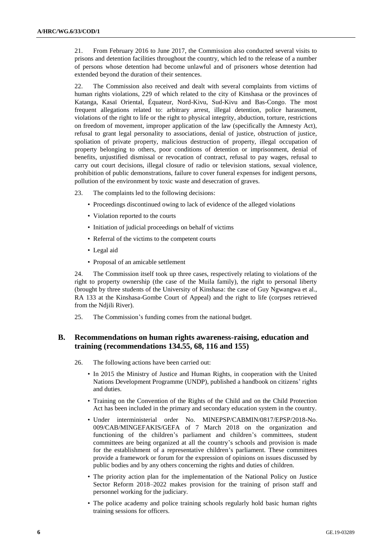21. From February 2016 to June 2017, the Commission also conducted several visits to prisons and detention facilities throughout the country, which led to the release of a number of persons whose detention had become unlawful and of prisoners whose detention had extended beyond the duration of their sentences.

22. The Commission also received and dealt with several complaints from victims of human rights violations, 229 of which related to the city of Kinshasa or the provinces of Katanga, Kasaï Oriental, Équateur, Nord-Kivu, Sud-Kivu and Bas-Congo. The most frequent allegations related to: arbitrary arrest, illegal detention, police harassment, violations of the right to life or the right to physical integrity, abduction, torture, restrictions on freedom of movement, improper application of the law (specifically the Amnesty Act), refusal to grant legal personality to associations, denial of justice, obstruction of justice, spoliation of private property, malicious destruction of property, illegal occupation of property belonging to others, poor conditions of detention or imprisonment, denial of benefits, unjustified dismissal or revocation of contract, refusal to pay wages, refusal to carry out court decisions, illegal closure of radio or television stations, sexual violence, prohibition of public demonstrations, failure to cover funeral expenses for indigent persons, pollution of the environment by toxic waste and desecration of graves.

- 23. The complaints led to the following decisions:
	- Proceedings discontinued owing to lack of evidence of the alleged violations
	- Violation reported to the courts
	- Initiation of judicial proceedings on behalf of victims
	- Referral of the victims to the competent courts
	- Legal aid
	- Proposal of an amicable settlement

24. The Commission itself took up three cases, respectively relating to violations of the right to property ownership (the case of the Muila family), the right to personal liberty (brought by three students of the University of Kinshasa: the case of Guy Ngwangwa et al., RA 133 at the Kinshasa-Gombe Court of Appeal) and the right to life (corpses retrieved from the Ndjili River).

25. The Commission's funding comes from the national budget.

#### **B. Recommendations on human rights awareness-raising, education and training (recommendations 134.55, 68, 116 and 155)**

- 26. The following actions have been carried out:
	- In 2015 the Ministry of Justice and Human Rights, in cooperation with the United Nations Development Programme (UNDP), published a handbook on citizens' rights and duties.
	- Training on the Convention of the Rights of the Child and on the Child Protection Act has been included in the primary and secondary education system in the country.
	- Under interministerial order No. MINEPSP/CABMIN/0817/EPSP/2018-No. 009/CAB/MINGEFAKIS/GEFA of 7 March 2018 on the organization and functioning of the children's parliament and children's committees, student committees are being organized at all the country's schools and provision is made for the establishment of a representative children's parliament. These committees provide a framework or forum for the expression of opinions on issues discussed by public bodies and by any others concerning the rights and duties of children.
	- The priority action plan for the implementation of the National Policy on Justice Sector Reform 2018–2022 makes provision for the training of prison staff and personnel working for the judiciary.
	- The police academy and police training schools regularly hold basic human rights training sessions for officers.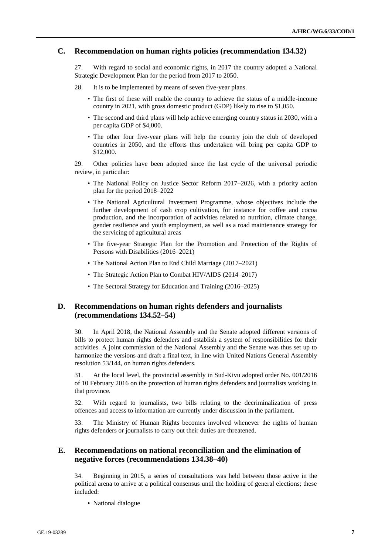### **C. Recommendation on human rights policies (recommendation 134.32)**

27. With regard to social and economic rights, in 2017 the country adopted a National Strategic Development Plan for the period from 2017 to 2050.

- 28. It is to be implemented by means of seven five-year plans.
	- The first of these will enable the country to achieve the status of a middle-income country in 2021, with gross domestic product (GDP) likely to rise to \$1,050.
	- The second and third plans will help achieve emerging country status in 2030, with a per capita GDP of \$4,000.
	- The other four five-year plans will help the country join the club of developed countries in 2050, and the efforts thus undertaken will bring per capita GDP to \$12,000.

29. Other policies have been adopted since the last cycle of the universal periodic review, in particular:

- The National Policy on Justice Sector Reform 2017–2026, with a priority action plan for the period 2018–2022
- The National Agricultural Investment Programme, whose objectives include the further development of cash crop cultivation, for instance for coffee and cocoa production, and the incorporation of activities related to nutrition, climate change, gender resilience and youth employment, as well as a road maintenance strategy for the servicing of agricultural areas
- The five-year Strategic Plan for the Promotion and Protection of the Rights of Persons with Disabilities (2016–2021)
- The National Action Plan to End Child Marriage (2017–2021)
- The Strategic Action Plan to Combat HIV/AIDS (2014–2017)
- The Sectoral Strategy for Education and Training (2016–2025)

### **D. Recommendations on human rights defenders and journalists (recommendations 134.52–54)**

30. In April 2018, the National Assembly and the Senate adopted different versions of bills to protect human rights defenders and establish a system of responsibilities for their activities. A joint commission of the National Assembly and the Senate was thus set up to harmonize the versions and draft a final text, in line with United Nations General Assembly resolution 53/144, on human rights defenders.

31. At the local level, the provincial assembly in Sud-Kivu adopted order No. 001/2016 of 10 February 2016 on the protection of human rights defenders and journalists working in that province.

32. With regard to journalists, two bills relating to the decriminalization of press offences and access to information are currently under discussion in the parliament.

33. The Ministry of Human Rights becomes involved whenever the rights of human rights defenders or journalists to carry out their duties are threatened.

### **E. Recommendations on national reconciliation and the elimination of negative forces (recommendations 134.38–40)**

34. Beginning in 2015, a series of consultations was held between those active in the political arena to arrive at a political consensus until the holding of general elections; these included:

• National dialogue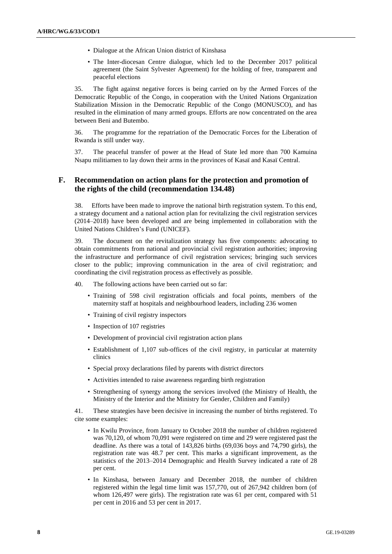- Dialogue at the African Union district of Kinshasa
- The Inter-diocesan Centre dialogue, which led to the December 2017 political agreement (the Saint Sylvester Agreement) for the holding of free, transparent and peaceful elections

35. The fight against negative forces is being carried on by the Armed Forces of the Democratic Republic of the Congo, in cooperation with the United Nations Organization Stabilization Mission in the Democratic Republic of the Congo (MONUSCO), and has resulted in the elimination of many armed groups. Efforts are now concentrated on the area between Beni and Butembo.

36. The programme for the repatriation of the Democratic Forces for the Liberation of Rwanda is still under way.

37. The peaceful transfer of power at the Head of State led more than 700 Kamuina Nsapu militiamen to lay down their arms in the provinces of Kasaï and Kasaï Central.

#### **F. Recommendation on action plans for the protection and promotion of the rights of the child (recommendation 134.48)**

38. Efforts have been made to improve the national birth registration system. To this end, a strategy document and a national action plan for revitalizing the civil registration services (2014–2018) have been developed and are being implemented in collaboration with the United Nations Children's Fund (UNICEF).

39. The document on the revitalization strategy has five components: advocating to obtain commitments from national and provincial civil registration authorities; improving the infrastructure and performance of civil registration services; bringing such services closer to the public; improving communication in the area of civil registration; and coordinating the civil registration process as effectively as possible.

40. The following actions have been carried out so far:

- Training of 598 civil registration officials and focal points, members of the maternity staff at hospitals and neighbourhood leaders, including 236 women
- Training of civil registry inspectors
- Inspection of 107 registries
- Development of provincial civil registration action plans
- Establishment of 1,107 sub-offices of the civil registry, in particular at maternity clinics
- Special proxy declarations filed by parents with district directors
- Activities intended to raise awareness regarding birth registration
- Strengthening of synergy among the services involved (the Ministry of Health, the Ministry of the Interior and the Ministry for Gender, Children and Family)

41. These strategies have been decisive in increasing the number of births registered. To cite some examples:

- In Kwilu Province, from January to October 2018 the number of children registered was 70,120, of whom 70,091 were registered on time and 29 were registered past the deadline. As there was a total of 143,826 births (69,036 boys and 74,790 girls), the registration rate was 48.7 per cent. This marks a significant improvement, as the statistics of the 2013–2014 Demographic and Health Survey indicated a rate of 28 per cent.
- In Kinshasa, between January and December 2018, the number of children registered within the legal time limit was 157,770, out of 267,942 children born (of whom 126,497 were girls). The registration rate was 61 per cent, compared with 51 per cent in 2016 and 53 per cent in 2017.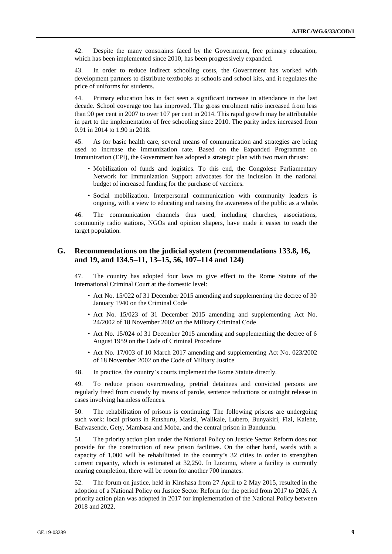42. Despite the many constraints faced by the Government, free primary education, which has been implemented since 2010, has been progressively expanded.

43. In order to reduce indirect schooling costs, the Government has worked with development partners to distribute textbooks at schools and school kits, and it regulates the price of uniforms for students.

44. Primary education has in fact seen a significant increase in attendance in the last decade. School coverage too has improved. The gross enrolment ratio increased from less than 90 per cent in 2007 to over 107 per cent in 2014. This rapid growth may be attributable in part to the implementation of free schooling since 2010. The parity index increased from 0.91 in 2014 to 1.90 in 2018.

45. As for basic health care, several means of communication and strategies are being used to increase the immunization rate. Based on the Expanded Programme on Immunization (EPI), the Government has adopted a strategic plan with two main thrusts:

- Mobilization of funds and logistics. To this end, the Congolese Parliamentary Network for Immunization Support advocates for the inclusion in the national budget of increased funding for the purchase of vaccines.
- Social mobilization. Interpersonal communication with community leaders is ongoing, with a view to educating and raising the awareness of the public as a whole.

46. The communication channels thus used, including churches, associations, community radio stations, NGOs and opinion shapers, have made it easier to reach the target population.

#### **G. Recommendations on the judicial system (recommendations 133.8, 16, and 19, and 134.5–11, 13–15, 56, 107–114 and 124)**

47. The country has adopted four laws to give effect to the Rome Statute of the International Criminal Court at the domestic level:

- Act No. 15/022 of 31 December 2015 amending and supplementing the decree of 30 January 1940 on the Criminal Code
- Act No. 15/023 of 31 December 2015 amending and supplementing Act No. 24/2002 of 18 November 2002 on the Military Criminal Code
- Act No. 15/024 of 31 December 2015 amending and supplementing the decree of 6 August 1959 on the Code of Criminal Procedure
- Act No. 17/003 of 10 March 2017 amending and supplementing Act No. 023/2002 of 18 November 2002 on the Code of Military Justice
- 48. In practice, the country's courts implement the Rome Statute directly.

49. To reduce prison overcrowding, pretrial detainees and convicted persons are regularly freed from custody by means of parole, sentence reductions or outright release in cases involving harmless offences.

50. The rehabilitation of prisons is continuing. The following prisons are undergoing such work: local prisons in Rutshuru, Masisi, Walikale, Lubero, Bunyakiri, Fizi, Kalehe, Bafwasende, Gety, Mambasa and Moba, and the central prison in Bandundu.

51. The priority action plan under the National Policy on Justice Sector Reform does not provide for the construction of new prison facilities. On the other hand, wards with a capacity of 1,000 will be rehabilitated in the country's 32 cities in order to strengthen current capacity, which is estimated at 32,250. In Luzumu, where a facility is currently nearing completion, there will be room for another 700 inmates.

52. The forum on justice, held in Kinshasa from 27 April to 2 May 2015, resulted in the adoption of a National Policy on Justice Sector Reform for the period from 2017 to 2026. A priority action plan was adopted in 2017 for implementation of the National Policy between 2018 and 2022.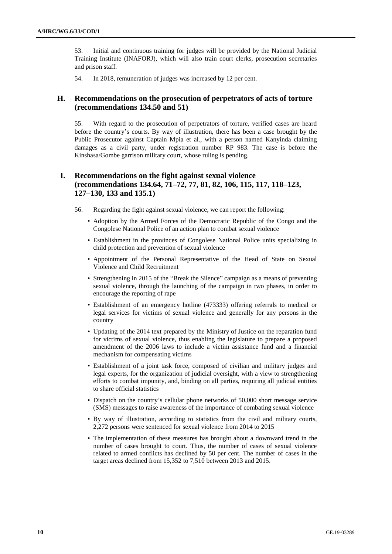53. Initial and continuous training for judges will be provided by the National Judicial Training Institute (INAFORJ), which will also train court clerks, prosecution secretaries and prison staff.

54. In 2018, remuneration of judges was increased by 12 per cent.

### **H. Recommendations on the prosecution of perpetrators of acts of torture (recommendations 134.50 and 51)**

55. With regard to the prosecution of perpetrators of torture, verified cases are heard before the country's courts. By way of illustration, there has been a case brought by the Public Prosecutor against Captain Mpia et al., with a person named Kanyinda claiming damages as a civil party, under registration number RP 983. The case is before the Kinshasa/Gombe garrison military court, whose ruling is pending.

### **I. Recommendations on the fight against sexual violence (recommendations 134.64, 71–72, 77, 81, 82, 106, 115, 117, 118–123, 127–130, 133 and 135.1)**

- 56. Regarding the fight against sexual violence, we can report the following:
	- Adoption by the Armed Forces of the Democratic Republic of the Congo and the Congolese National Police of an action plan to combat sexual violence
	- Establishment in the provinces of Congolese National Police units specializing in child protection and prevention of sexual violence
	- Appointment of the Personal Representative of the Head of State on Sexual Violence and Child Recruitment
	- Strengthening in 2015 of the "Break the Silence" campaign as a means of preventing sexual violence, through the launching of the campaign in two phases, in order to encourage the reporting of rape
	- Establishment of an emergency hotline (473333) offering referrals to medical or legal services for victims of sexual violence and generally for any persons in the country
	- Updating of the 2014 text prepared by the Ministry of Justice on the reparation fund for victims of sexual violence, thus enabling the legislature to prepare a proposed amendment of the 2006 laws to include a victim assistance fund and a financial mechanism for compensating victims
	- Establishment of a joint task force, composed of civilian and military judges and legal experts, for the organization of judicial oversight, with a view to strengthening efforts to combat impunity, and, binding on all parties, requiring all judicial entities to share official statistics
	- Dispatch on the country's cellular phone networks of 50,000 short message service (SMS) messages to raise awareness of the importance of combating sexual violence
	- By way of illustration, according to statistics from the civil and military courts, 2,272 persons were sentenced for sexual violence from 2014 to 2015
	- The implementation of these measures has brought about a downward trend in the number of cases brought to court. Thus, the number of cases of sexual violence related to armed conflicts has declined by 50 per cent. The number of cases in the target areas declined from 15,352 to 7,510 between 2013 and 2015.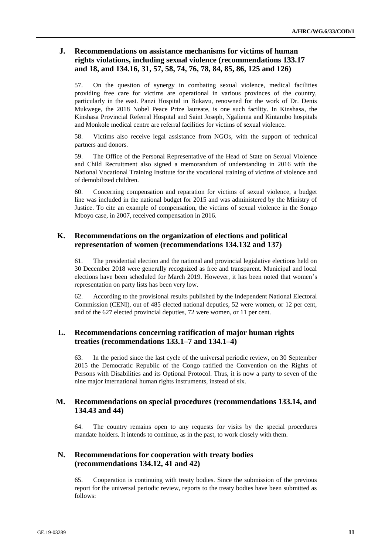### **J. Recommendations on assistance mechanisms for victims of human rights violations, including sexual violence (recommendations 133.17 and 18, and 134.16, 31, 57, 58, 74, 76, 78, 84, 85, 86, 125 and 126)**

57. On the question of synergy in combating sexual violence, medical facilities providing free care for victims are operational in various provinces of the country, particularly in the east. Panzi Hospital in Bukavu, renowned for the work of Dr. Denis Mukwege, the 2018 Nobel Peace Prize laureate, is one such facility. In Kinshasa, the Kinshasa Provincial Referral Hospital and Saint Joseph, Ngaliema and Kintambo hospitals and Monkole medical centre are referral facilities for victims of sexual violence.

58. Victims also receive legal assistance from NGOs, with the support of technical partners and donors.

59. The Office of the Personal Representative of the Head of State on Sexual Violence and Child Recruitment also signed a memorandum of understanding in 2016 with the National Vocational Training Institute for the vocational training of victims of violence and of demobilized children.

60. Concerning compensation and reparation for victims of sexual violence, a budget line was included in the national budget for 2015 and was administered by the Ministry of Justice. To cite an example of compensation, the victims of sexual violence in the Songo Mboyo case, in 2007, received compensation in 2016.

### **K. Recommendations on the organization of elections and political representation of women (recommendations 134.132 and 137)**

61. The presidential election and the national and provincial legislative elections held on 30 December 2018 were generally recognized as free and transparent. Municipal and local elections have been scheduled for March 2019. However, it has been noted that women's representation on party lists has been very low.

62. According to the provisional results published by the Independent National Electoral Commission (CENI), out of 485 elected national deputies, 52 were women, or 12 per cent, and of the 627 elected provincial deputies, 72 were women, or 11 per cent.

### **L. Recommendations concerning ratification of major human rights treaties (recommendations 133.1–7 and 134.1–4)**

63. In the period since the last cycle of the universal periodic review, on 30 September 2015 the Democratic Republic of the Congo ratified the Convention on the Rights of Persons with Disabilities and its Optional Protocol. Thus, it is now a party to seven of the nine major international human rights instruments, instead of six.

### **M. Recommendations on special procedures (recommendations 133.14, and 134.43 and 44)**

64. The country remains open to any requests for visits by the special procedures mandate holders. It intends to continue, as in the past, to work closely with them.

### **N. Recommendations for cooperation with treaty bodies (recommendations 134.12, 41 and 42)**

65. Cooperation is continuing with treaty bodies. Since the submission of the previous report for the universal periodic review, reports to the treaty bodies have been submitted as follows: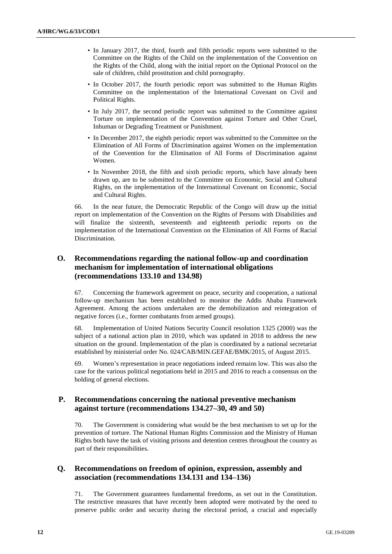- In January 2017, the third, fourth and fifth periodic reports were submitted to the Committee on the Rights of the Child on the implementation of the Convention on the Rights of the Child, along with the initial report on the Optional Protocol on the sale of children, child prostitution and child pornography.
- In October 2017, the fourth periodic report was submitted to the Human Rights Committee on the implementation of the International Covenant on Civil and Political Rights.
- In July 2017, the second periodic report was submitted to the Committee against Torture on implementation of the Convention against Torture and Other Cruel, Inhuman or Degrading Treatment or Punishment.
- In December 2017, the eighth periodic report was submitted to the Committee on the Elimination of All Forms of Discrimination against Women on the implementation of the Convention for the Elimination of All Forms of Discrimination against Women.
- In November 2018, the fifth and sixth periodic reports, which have already been drawn up, are to be submitted to the Committee on Economic, Social and Cultural Rights, on the implementation of the International Covenant on Economic, Social and Cultural Rights.

66. In the near future, the Democratic Republic of the Congo will draw up the initial report on implementation of the Convention on the Rights of Persons with Disabilities and will finalize the sixteenth, seventeenth and eighteenth periodic reports on the implementation of the International Convention on the Elimination of All Forms of Racial Discrimination.

### **O. Recommendations regarding the national follow-up and coordination mechanism for implementation of international obligations (recommendations 133.10 and 134.98)**

67. Concerning the framework agreement on peace, security and cooperation, a national follow-up mechanism has been established to monitor the Addis Ababa Framework Agreement. Among the actions undertaken are the demobilization and reintegration of negative forces (i.e., former combatants from armed groups).

68. Implementation of United Nations Security Council resolution 1325 (2000) was the subject of a national action plan in 2010, which was updated in 2018 to address the new situation on the ground. Implementation of the plan is coordinated by a national secretariat established by ministerial order No. 024/CAB/MIN.GEFAE/BMK/2015, of August 2015.

69. Women's representation in peace negotiations indeed remains low. This was also the case for the various political negotiations held in 2015 and 2016 to reach a consensus on the holding of general elections.

### **P. Recommendations concerning the national preventive mechanism against torture (recommendations 134.27–30, 49 and 50)**

70. The Government is considering what would be the best mechanism to set up for the prevention of torture. The National Human Rights Commission and the Ministry of Human Rights both have the task of visiting prisons and detention centres throughout the country as part of their responsibilities.

### **Q. Recommendations on freedom of opinion, expression, assembly and association (recommendations 134.131 and 134–136)**

71. The Government guarantees fundamental freedoms, as set out in the Constitution. The restrictive measures that have recently been adopted were motivated by the need to preserve public order and security during the electoral period, a crucial and especially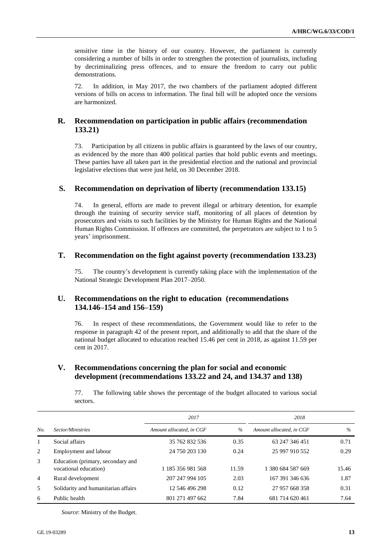sensitive time in the history of our country. However, the parliament is currently considering a number of bills in order to strengthen the protection of journalists, including by decriminalizing press offences, and to ensure the freedom to carry out public demonstrations.

72. In addition, in May 2017, the two chambers of the parliament adopted different versions of bills on access to information. The final bill will be adopted once the versions are harmonized.

### **R. Recommendation on participation in public affairs (recommendation 133.21)**

73. Participation by all citizens in public affairs is guaranteed by the laws of our country, as evidenced by the more than 400 political parties that hold public events and meetings. These parties have all taken part in the presidential election and the national and provincial legislative elections that were just held, on 30 December 2018.

#### **S. Recommendation on deprivation of liberty (recommendation 133.15)**

74. In general, efforts are made to prevent illegal or arbitrary detention, for example through the training of security service staff, monitoring of all places of detention by prosecutors and visits to such facilities by the Ministry for Human Rights and the National Human Rights Commission. If offences are committed, the perpetrators are subject to 1 to 5 years' imprisonment.

#### **T. Recommendation on the fight against poverty (recommendation 133.23)**

75. The country's development is currently taking place with the implementation of the National Strategic Development Plan 2017–2050.

#### **U. Recommendations on the right to education (recommendations 134.146–154 and 156–159)**

76. In respect of these recommendations, the Government would like to refer to the response in paragraph 42 of the present report, and additionally to add that the share of the national budget allocated to education reached 15.46 per cent in 2018, as against 11.59 per cent in 2017.

#### **V. Recommendations concerning the plan for social and economic development (recommendations 133.22 and 24, and 134.37 and 138)**

77. The following table shows the percentage of the budget allocated to various social sectors.

|                |                                                            | 2017                     |       | 2018                     |       |
|----------------|------------------------------------------------------------|--------------------------|-------|--------------------------|-------|
| No.            | Sector/Ministries                                          | Amount allocated, in CGF | $\%$  | Amount allocated, in CGF | $\%$  |
| 1              | Social affairs                                             | 35 762 832 536           | 0.35  | 63 247 346 451           | 0.71  |
| 2              | Employment and labour                                      | 24 750 203 130           | 0.24  | 25 997 910 552           | 0.29  |
| 3              | Education (primary, secondary and<br>vocational education) | 1 185 356 981 568        | 11.59 | 1 380 684 587 669        | 15.46 |
| $\overline{4}$ | Rural development                                          | 207 247 994 105          | 2.03  | 167 391 346 636          | 1.87  |
| 5              | Solidarity and humanitarian affairs                        | 12 546 496 298           | 0.12  | 27 957 668 358           | 0.31  |
| 6              | Public health                                              | 801 271 497 662          | 7.84  | 681 714 620 461          | 7.64  |

*Source*: Ministry of the Budget.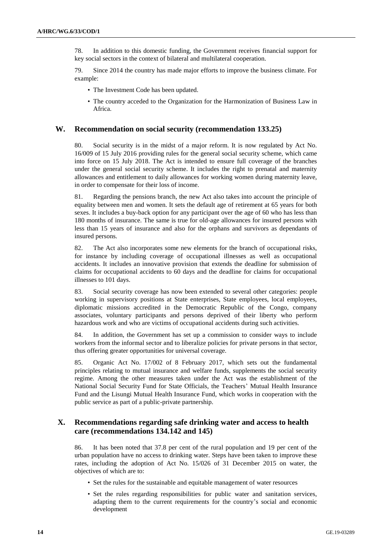78. In addition to this domestic funding, the Government receives financial support for key social sectors in the context of bilateral and multilateral cooperation.

79. Since 2014 the country has made major efforts to improve the business climate. For example:

- The Investment Code has been updated.
- The country acceded to the Organization for the Harmonization of Business Law in Africa.

#### **W. Recommendation on social security (recommendation 133.25)**

80. Social security is in the midst of a major reform. It is now regulated by Act No. 16/009 of 15 July 2016 providing rules for the general social security scheme, which came into force on 15 July 2018. The Act is intended to ensure full coverage of the branches under the general social security scheme. It includes the right to prenatal and maternity allowances and entitlement to daily allowances for working women during maternity leave, in order to compensate for their loss of income.

81. Regarding the pensions branch, the new Act also takes into account the principle of equality between men and women. It sets the default age of retirement at 65 years for both sexes. It includes a buy-back option for any participant over the age of 60 who has less than 180 months of insurance. The same is true for old-age allowances for insured persons with less than 15 years of insurance and also for the orphans and survivors as dependants of insured persons.

82. The Act also incorporates some new elements for the branch of occupational risks, for instance by including coverage of occupational illnesses as well as occupational accidents. It includes an innovative provision that extends the deadline for submission of claims for occupational accidents to 60 days and the deadline for claims for occupational illnesses to 101 days.

83. Social security coverage has now been extended to several other categories: people working in supervisory positions at State enterprises, State employees, local employees, diplomatic missions accredited in the Democratic Republic of the Congo, company associates, voluntary participants and persons deprived of their liberty who perform hazardous work and who are victims of occupational accidents during such activities.

84. In addition, the Government has set up a commission to consider ways to include workers from the informal sector and to liberalize policies for private persons in that sector, thus offering greater opportunities for universal coverage.

85. Organic Act No. 17/002 of 8 February 2017, which sets out the fundamental principles relating to mutual insurance and welfare funds, supplements the social security regime. Among the other measures taken under the Act was the establishment of the National Social Security Fund for State Officials, the Teachers' Mutual Health Insurance Fund and the Lisungi Mutual Health Insurance Fund, which works in cooperation with the public service as part of a public-private partnership.

### **X. Recommendations regarding safe drinking water and access to health care (recommendations 134.142 and 145)**

86. It has been noted that 37.8 per cent of the rural population and 19 per cent of the urban population have no access to drinking water. Steps have been taken to improve these rates, including the adoption of Act No. 15/026 of 31 December 2015 on water, the objectives of which are to:

- Set the rules for the sustainable and equitable management of water resources
- Set the rules regarding responsibilities for public water and sanitation services, adapting them to the current requirements for the country's social and economic development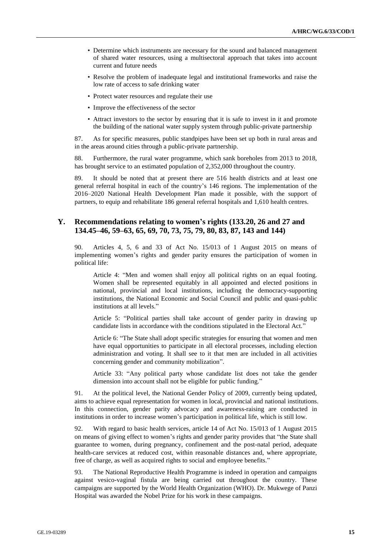- Determine which instruments are necessary for the sound and balanced management of shared water resources, using a multisectoral approach that takes into account current and future needs
- Resolve the problem of inadequate legal and institutional frameworks and raise the low rate of access to safe drinking water
- Protect water resources and regulate their use
- Improve the effectiveness of the sector
- Attract investors to the sector by ensuring that it is safe to invest in it and promote the building of the national water supply system through public-private partnership

87. As for specific measures, public standpipes have been set up both in rural areas and in the areas around cities through a public-private partnership.

88. Furthermore, the rural water programme, which sank boreholes from 2013 to 2018, has brought service to an estimated population of 2,352,000 throughout the country.

89. It should be noted that at present there are 516 health districts and at least one general referral hospital in each of the country's 146 regions. The implementation of the 2016–2020 National Health Development Plan made it possible, with the support of partners, to equip and rehabilitate 186 general referral hospitals and 1,610 health centres.

#### **Y. Recommendations relating to women's rights (133.20, 26 and 27 and 134.45–46, 59–63, 65, 69, 70, 73, 75, 79, 80, 83, 87, 143 and 144)**

90. Articles 4, 5, 6 and 33 of Act No. 15/013 of 1 August 2015 on means of implementing women's rights and gender parity ensures the participation of women in political life:

Article 4: "Men and women shall enjoy all political rights on an equal footing. Women shall be represented equitably in all appointed and elected positions in national, provincial and local institutions, including the democracy-supporting institutions, the National Economic and Social Council and public and quasi-public institutions at all levels."

Article 5: "Political parties shall take account of gender parity in drawing up candidate lists in accordance with the conditions stipulated in the Electoral Act."

Article 6: "The State shall adopt specific strategies for ensuring that women and men have equal opportunities to participate in all electoral processes, including election administration and voting. It shall see to it that men are included in all activities concerning gender and community mobilization".

Article 33: "Any political party whose candidate list does not take the gender dimension into account shall not be eligible for public funding."

91. At the political level, the National Gender Policy of 2009, currently being updated, aims to achieve equal representation for women in local, provincial and national institutions. In this connection, gender parity advocacy and awareness-raising are conducted in institutions in order to increase women's participation in political life, which is still low.

92. With regard to basic health services, article 14 of Act No. 15/013 of 1 August 2015 on means of giving effect to women's rights and gender parity provides that "the State shall guarantee to women, during pregnancy, confinement and the post-natal period, adequate health-care services at reduced cost, within reasonable distances and, where appropriate, free of charge, as well as acquired rights to social and employee benefits."

93. The National Reproductive Health Programme is indeed in operation and campaigns against vesico-vaginal fistula are being carried out throughout the country. These campaigns are supported by the World Health Organization (WHO). Dr. Mukwege of Panzi Hospital was awarded the Nobel Prize for his work in these campaigns.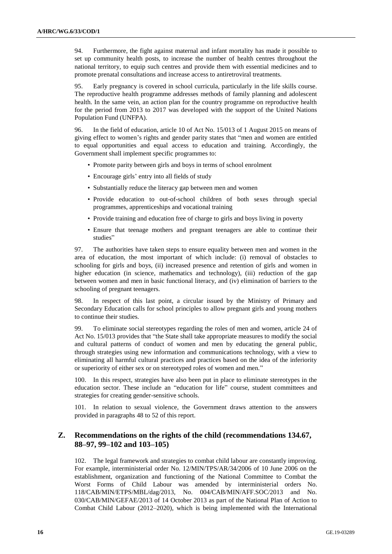94. Furthermore, the fight against maternal and infant mortality has made it possible to set up community health posts, to increase the number of health centres throughout the national territory, to equip such centres and provide them with essential medicines and to promote prenatal consultations and increase access to antiretroviral treatments.

95. Early pregnancy is covered in school curricula, particularly in the life skills course. The reproductive health programme addresses methods of family planning and adolescent health. In the same vein, an action plan for the country programme on reproductive health for the period from 2013 to 2017 was developed with the support of the United Nations Population Fund (UNFPA).

96. In the field of education, article 10 of Act No. 15/013 of 1 August 2015 on means of giving effect to women's rights and gender parity states that "men and women are entitled to equal opportunities and equal access to education and training. Accordingly, the Government shall implement specific programmes to:

- Promote parity between girls and boys in terms of school enrolment
- Encourage girls' entry into all fields of study
- Substantially reduce the literacy gap between men and women
- Provide education to out-of-school children of both sexes through special programmes, apprenticeships and vocational training
- Provide training and education free of charge to girls and boys living in poverty
- Ensure that teenage mothers and pregnant teenagers are able to continue their studies"

97. The authorities have taken steps to ensure equality between men and women in the area of education, the most important of which include: (i) removal of obstacles to schooling for girls and boys, (ii) increased presence and retention of girls and women in higher education (in science, mathematics and technology), (iii) reduction of the gap between women and men in basic functional literacy, and (iv) elimination of barriers to the schooling of pregnant teenagers.

98. In respect of this last point, a circular issued by the Ministry of Primary and Secondary Education calls for school principles to allow pregnant girls and young mothers to continue their studies.

99. To eliminate social stereotypes regarding the roles of men and women, article 24 of Act No. 15/013 provides that "the State shall take appropriate measures to modify the social and cultural patterns of conduct of women and men by educating the general public, through strategies using new information and communications technology, with a view to eliminating all harmful cultural practices and practices based on the idea of the inferiority or superiority of either sex or on stereotyped roles of women and men."

100. In this respect, strategies have also been put in place to eliminate stereotypes in the education sector. These include an "education for life" course, student committees and strategies for creating gender-sensitive schools.

101. In relation to sexual violence, the Government draws attention to the answers provided in paragraphs 48 to 52 of this report.

### **Z. Recommendations on the rights of the child (recommendations 134.67, 88–97, 99–102 and 103–105)**

102. The legal framework and strategies to combat child labour are constantly improving. For example, interministerial order No. 12/MIN/TPS/AR/34/2006 of 10 June 2006 on the establishment, organization and functioning of the National Committee to Combat the Worst Forms of Child Labour was amended by interministerial orders No. 118/CAB/MIN/ETPS/MBL/dag/2013, No. 004/CAB/MIN/AFF.SOC/2013 and No. 030/CAB/MIN/GEFAE/2013 of 14 October 2013 as part of the National Plan of Action to Combat Child Labour (2012–2020), which is being implemented with the International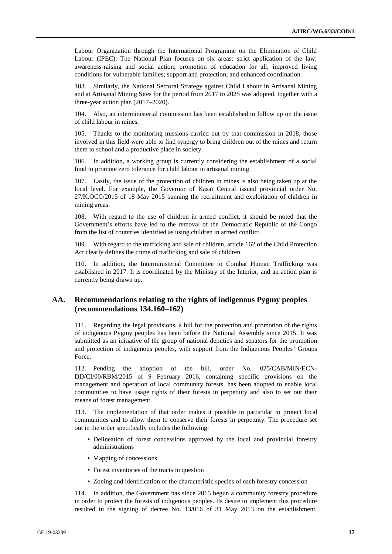Labour Organization through the International Programme on the Elimination of Child Labour (IPEC). The National Plan focuses on six areas: strict application of the law; awareness-raising and social action; promotion of education for all; improved living conditions for vulnerable families; support and protection; and enhanced coordination.

103. Similarly, the National Sectoral Strategy against Child Labour in Artisanal Mining and at Artisanal Mining Sites for the period from 2017 to 2025 was adopted, together with a three-year action plan (2017–2020).

104. Also, an interministerial commission has been established to follow up on the issue of child labour in mines.

105. Thanks to the monitoring missions carried out by that commission in 2018, those involved in this field were able to find synergy to bring children out of the mines and return them to school and a productive place in society.

106. In addition, a working group is currently considering the establishment of a social fund to promote zero tolerance for child labour in artisanal mining.

107. Lastly, the issue of the protection of children in mines is also being taken up at the local level. For example, the Governor of Kasaï Central issued provincial order No. 27/K.OCC/2015 of 18 May 2015 banning the recruitment and exploitation of children in mining areas.

108. With regard to the use of children in armed conflict, it should be noted that the Government's efforts have led to the removal of the Democratic Republic of the Congo from the list of countries identified as using children in armed conflict.

109. With regard to the trafficking and sale of children, article 162 of the Child Protection Act clearly defines the crime of trafficking and sale of children.

110. In addition, the Interministerial Committee to Combat Human Trafficking was established in 2017. It is coordinated by the Ministry of the Interior, and an action plan is currently being drawn up.

#### **AA. Recommendations relating to the rights of indigenous Pygmy peoples (recommendations 134.160–162)**

111. Regarding the legal provisions, a bill for the protection and promotion of the rights of indigenous Pygmy peoples has been before the National Assembly since 2015. It was submitted as an initiative of the group of national deputies and senators for the promotion and protection of indigenous peoples, with support from the Indigenous Peoples' Groups Force.

112. Pending the adoption of the bill, order No. 025/CAB/MIN/ECN-DD/CI/00/RBM/2015 of 9 February 2016, containing specific provisions on the management and operation of local community forests, has been adopted to enable local communities to have usage rights of their forests in perpetuity and also to set out their means of forest management.

113. The implementation of that order makes it possible in particular to protect local communities and to allow them to conserve their forests in perpetuity. The procedure set out in the order specifically includes the following:

- Delineation of forest concessions approved by the local and provincial forestry administrations
- Mapping of concessions
- Forest inventories of the tracts in question
- Zoning and identification of the characteristic species of each forestry concession

114. In addition, the Government has since 2015 begun a community forestry procedure in order to protect the forests of indigenous peoples. Its desire to implement this procedure resulted in the signing of decree No. 13/016 of 31 May 2013 on the establishment,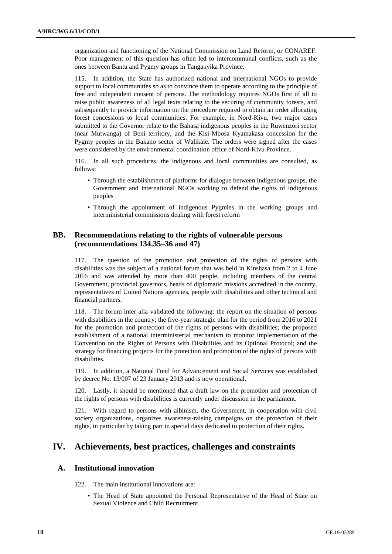organization and functioning of the National Commission on Land Reform, or CONAREF. Poor management of this question has often led to intercommunal conflicts, such as the ones between Bantu and Pygmy groups in Tanganyika Province.

115. In addition, the State has authorized national and international NGOs to provide support to local communities so as to convince them to operate according to the principle of free and independent consent of persons. The methodology requires NGOs first of all to raise public awareness of all legal texts relating to the securing of community forests, and subsequently to provide information on the procedure required to obtain an order allocating forest concessions to local communities. For example, in Nord-Kivu, two major cases submitted to the Governor relate to the Bahasa indigenous peoples in the Ruwenzori sector (near Mutwanga) of Beni territory, and the Kisi-Mbosa Kyamakasa concession for the Pygmy peoples in the Bakano sector of Walikale. The orders were signed after the cases were considered by the environmental coordination office of Nord-Kivu Province.

116. In all such procedures, the indigenous and local communities are consulted, as follows:

- Through the establishment of platforms for dialogue between indigenous groups, the Government and international NGOs working to defend the rights of indigenous peoples
- Through the appointment of indigenous Pygmies in the working groups and interministerial commissions dealing with forest reform

#### **BB. Recommendations relating to the rights of vulnerable persons (recommendations 134.35–36 and 47)**

117. The question of the promotion and protection of the rights of persons with disabilities was the subject of a national forum that was held in Kinshasa from 2 to 4 June 2016 and was attended by more than 400 people, including members of the central Government, provincial governors, heads of diplomatic missions accredited in the country, representatives of United Nations agencies, people with disabilities and other technical and financial partners.

118. The forum inter alia validated the following: the report on the situation of persons with disabilities in the country; the five-year strategic plan for the period from 2016 to 2021 for the promotion and protection of the rights of persons with disabilities; the proposed establishment of a national interministerial mechanism to monitor implementation of the Convention on the Rights of Persons with Disabilities and its Optional Protocol; and the strategy for financing projects for the protection and promotion of the rights of persons with disabilities.

119. In addition, a National Fund for Advancement and Social Services was established by decree No. 13/007 of 23 January 2013 and is now operational.

120. Lastly, it should be mentioned that a draft law on the promotion and protection of the rights of persons with disabilities is currently under discussion in the parliament.

121. With regard to persons with albinism, the Government, in cooperation with civil society organizations, organizes awareness-raising campaigns on the protection of their rights, in particular by taking part in special days dedicated to protection of their rights.

# **IV. Achievements, best practices, challenges and constraints**

#### **A. Institutional innovation**

122. The main institutional innovations are:

• The Head of State appointed the Personal Representative of the Head of State on Sexual Violence and Child Recruitment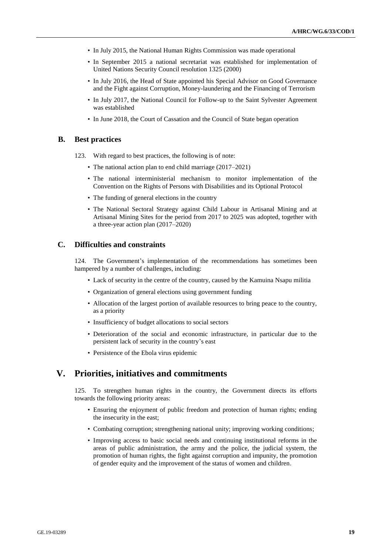- In July 2015, the National Human Rights Commission was made operational
- In September 2015 a national secretariat was established for implementation of United Nations Security Council resolution 1325 (2000)
- In July 2016, the Head of State appointed his Special Advisor on Good Governance and the Fight against Corruption, Money-laundering and the Financing of Terrorism
- In July 2017, the National Council for Follow-up to the Saint Sylvester Agreement was established
- In June 2018, the Court of Cassation and the Council of State began operation

#### **B. Best practices**

- 123. With regard to best practices, the following is of note:
	- The national action plan to end child marriage (2017–2021)
	- The national interministerial mechanism to monitor implementation of the Convention on the Rights of Persons with Disabilities and its Optional Protocol
	- The funding of general elections in the country
	- The National Sectoral Strategy against Child Labour in Artisanal Mining and at Artisanal Mining Sites for the period from 2017 to 2025 was adopted, together with a three-year action plan (2017–2020)

#### **C. Difficulties and constraints**

124. The Government's implementation of the recommendations has sometimes been hampered by a number of challenges, including:

- Lack of security in the centre of the country, caused by the Kamuina Nsapu militia
- Organization of general elections using government funding
- Allocation of the largest portion of available resources to bring peace to the country, as a priority
- Insufficiency of budget allocations to social sectors
- Deterioration of the social and economic infrastructure, in particular due to the persistent lack of security in the country's east
- Persistence of the Ebola virus epidemic

# **V. Priorities, initiatives and commitments**

125. To strengthen human rights in the country, the Government directs its efforts towards the following priority areas:

- Ensuring the enjoyment of public freedom and protection of human rights; ending the insecurity in the east;
- Combating corruption; strengthening national unity; improving working conditions;
- Improving access to basic social needs and continuing institutional reforms in the areas of public administration, the army and the police, the judicial system, the promotion of human rights, the fight against corruption and impunity, the promotion of gender equity and the improvement of the status of women and children.